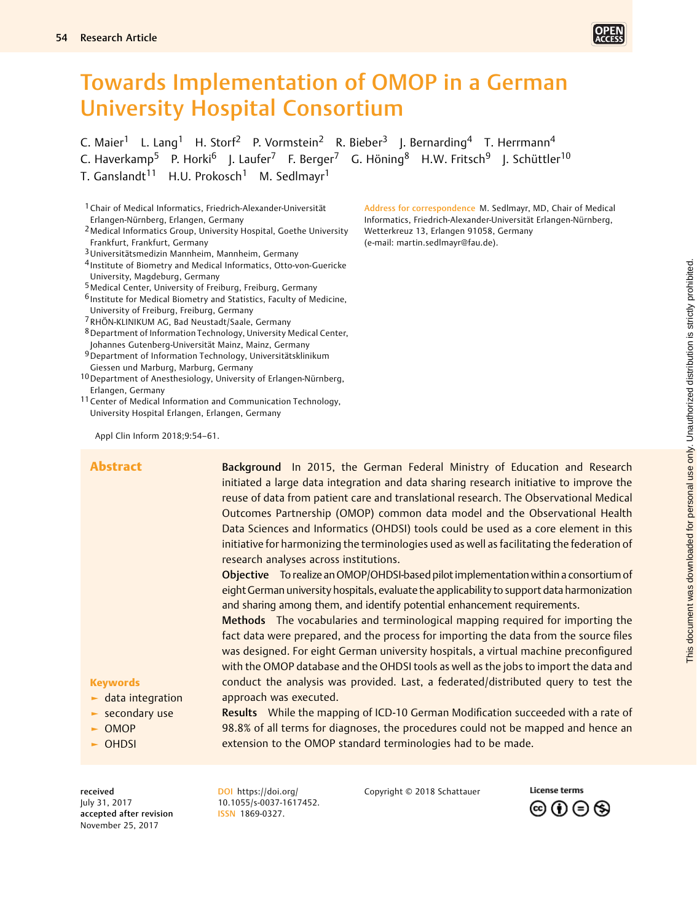# Towards Implementation of OMOP in a German University Hospital Consortium

C. Maier<sup>1</sup> L. Lang<sup>1</sup> H. Storf<sup>2</sup> P. Vormstein<sup>2</sup> R. Bieber<sup>3</sup> J. Bernarding<sup>4</sup> T. Herrmann<sup>4</sup> C. Haverkamp<sup>5</sup> P. Horki<sup>6</sup> J. Laufer<sup>7</sup> F. Berger<sup>7</sup> G. Höning<sup>8</sup> H.W. Fritsch<sup>9</sup> J. Schüttler<sup>10</sup> T. Ganslandt<sup>11</sup> H.U. Prokosch<sup>1</sup> M. Sedlmayr<sup>1</sup>

- 1Chair of Medical Informatics, Friedrich-Alexander-Universität Erlangen-Nürnberg, Erlangen, Germany
- 2Medical Informatics Group, University Hospital, Goethe University Frankfurt, Frankfurt, Germany
- 3Universitätsmedizin Mannheim, Mannheim, Germany
- 4 Institute of Biometry and Medical Informatics, Otto-von-Guericke University, Magdeburg, Germany
- 5Medical Center, University of Freiburg, Freiburg, Germany
- 6 Institute for Medical Biometry and Statistics, Faculty of Medicine, University of Freiburg, Freiburg, Germany
- 7RHÖN-KLINIKUM AG, Bad Neustadt/Saale, Germany
- 8Department of Information Technology, University Medical Center, Johannes Gutenberg-Universität Mainz, Mainz, Germany
- 9Department of Information Technology, Universitätsklinikum Giessen und Marburg, Marburg, Germany
- 10Department of Anesthesiology, University of Erlangen-Nürnberg, Erlangen, Germany
- 11 Center of Medical Information and Communication Technology, University Hospital Erlangen, Erlangen, Germany

Address for correspondence M. Sedlmayr, MD, Chair of Medical Informatics, Friedrich-Alexander-Universität Erlangen-Nürnberg, Wetterkreuz 13, Erlangen 91058, Germany (e-mail: [martin.sedlmayr@fau.de\)](mailto:martin.sedlmayr@fau.de).

Appl Clin Inform 2018;9:54–61.

| <b>Abstract</b>                        | Background In 2015, the German Federal Ministry of Education and Research                                                                                                                                                                                                                                                                                                                           |                                                                                       |  |  |  |  |  |                                                                                             |  |  |  |  |  |  |
|----------------------------------------|-----------------------------------------------------------------------------------------------------------------------------------------------------------------------------------------------------------------------------------------------------------------------------------------------------------------------------------------------------------------------------------------------------|---------------------------------------------------------------------------------------|--|--|--|--|--|---------------------------------------------------------------------------------------------|--|--|--|--|--|--|
|                                        | initiated a large data integration and data sharing research initiative to improve the                                                                                                                                                                                                                                                                                                              |                                                                                       |  |  |  |  |  |                                                                                             |  |  |  |  |  |  |
|                                        | reuse of data from patient care and translational research. The Observational Medical<br>Outcomes Partnership (OMOP) common data model and the Observational Health<br>Data Sciences and Informatics (OHDSI) tools could be used as a core element in this<br>initiative for harmonizing the terminologies used as well as facilitating the federation of<br>research analyses across institutions. |                                                                                       |  |  |  |  |  |                                                                                             |  |  |  |  |  |  |
|                                        |                                                                                                                                                                                                                                                                                                                                                                                                     |                                                                                       |  |  |  |  |  |                                                                                             |  |  |  |  |  |  |
|                                        |                                                                                                                                                                                                                                                                                                                                                                                                     |                                                                                       |  |  |  |  |  | Objective To realize an OMOP/OHDSI-based pilot implementation within a consortium of        |  |  |  |  |  |  |
|                                        |                                                                                                                                                                                                                                                                                                                                                                                                     |                                                                                       |  |  |  |  |  | eight German university hospitals, evaluate the applicability to support data harmonization |  |  |  |  |  |  |
|                                        |                                                                                                                                                                                                                                                                                                                                                                                                     |                                                                                       |  |  |  |  |  | and sharing among them, and identify potential enhancement requirements.                    |  |  |  |  |  |  |
|                                        | Methods The vocabularies and terminological mapping required for importing the                                                                                                                                                                                                                                                                                                                      |                                                                                       |  |  |  |  |  |                                                                                             |  |  |  |  |  |  |
|                                        | fact data were prepared, and the process for importing the data from the source files                                                                                                                                                                                                                                                                                                               |                                                                                       |  |  |  |  |  |                                                                                             |  |  |  |  |  |  |
|                                        |                                                                                                                                                                                                                                                                                                                                                                                                     | was designed. For eight German university hospitals, a virtual machine preconfigured  |  |  |  |  |  |                                                                                             |  |  |  |  |  |  |
|                                        |                                                                                                                                                                                                                                                                                                                                                                                                     | with the OMOP database and the OHDSI tools as well as the jobs to import the data and |  |  |  |  |  |                                                                                             |  |  |  |  |  |  |
|                                        | <b>Keywords</b>                                                                                                                                                                                                                                                                                                                                                                                     | conduct the analysis was provided. Last, a federated/distributed query to test the    |  |  |  |  |  |                                                                                             |  |  |  |  |  |  |
| $\blacktriangleright$ data integration | approach was executed.                                                                                                                                                                                                                                                                                                                                                                              |                                                                                       |  |  |  |  |  |                                                                                             |  |  |  |  |  |  |
| $\blacktriangleright$ secondary use    | Results While the mapping of ICD-10 German Modification succeeded with a rate of                                                                                                                                                                                                                                                                                                                    |                                                                                       |  |  |  |  |  |                                                                                             |  |  |  |  |  |  |
| $\sim$ OMOP                            | 98.8% of all terms for diagnoses, the procedures could not be mapped and hence an                                                                                                                                                                                                                                                                                                                   |                                                                                       |  |  |  |  |  |                                                                                             |  |  |  |  |  |  |
| $\sim$ OHDSI                           | extension to the OMOP standard terminologies had to be made.                                                                                                                                                                                                                                                                                                                                        |                                                                                       |  |  |  |  |  |                                                                                             |  |  |  |  |  |  |
|                                        |                                                                                                                                                                                                                                                                                                                                                                                                     |                                                                                       |  |  |  |  |  |                                                                                             |  |  |  |  |  |  |

received July 31, 2017 accepted after revision November 25, 2017

 $\mathbf k$ 

DOI [https://doi.org/](https://doi.org/10.1055/s-0037-1617452) [10.1055/s-0037-1617452](https://doi.org/10.1055/s-0037-1617452). ISSN 1869-0327.

Copyright © 2018 Schattauer



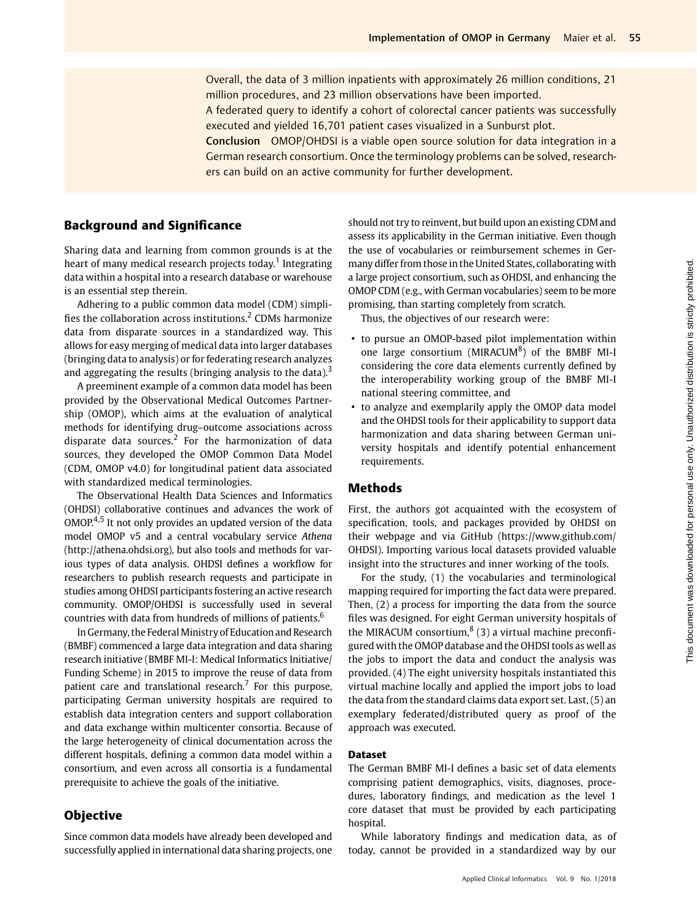Overall, the data of 3 million inpatients with approximately 26 million conditions, 21 million procedures, and 23 million observations have been imported.

A federated query to identify a cohort of colorectal cancer patients was successfully executed and yielded 16,701 patient cases visualized in a Sunburst plot.

Conclusion OMOP/OHDSI is a viable open source solution for data integration in a German research consortium. Once the terminology problems can be solved, researchers can build on an active community for further development.

## Background and Significance

Sharing data and learning from common grounds is at the heart of many medical research projects today.<sup>1</sup> Integrating data within a hospital into a research database or warehouse is an essential step therein.

Adhering to a public common data model (CDM) simplifies the collaboration across institutions.<sup>2</sup> CDMs harmonize data from disparate sources in a standardized way. This allows for easy merging of medical data into larger databases (bringing data to analysis) or for federating research analyzes and aggregating the results (bringing analysis to the data). $3$ 

A preeminent example of a common data model has been provided by the Observational Medical Outcomes Partnership (OMOP), which aims at the evaluation of analytical methods for identifying drug–outcome associations across disparate data sources.<sup>2</sup> For the harmonization of data sources, they developed the OMOP Common Data Model (CDM, OMOP v4.0) for longitudinal patient data associated with standardized medical terminologies.

The Observational Health Data Sciences and Informatics (OHDSI) collaborative continues and advances the work of  $OMOP<sup>4,5</sup>$  It not only provides an updated version of the data model OMOP v5 and a central vocabulary service Athena ([http://athena.ohdsi.org\)](http://thena.ohdsi.org), but also tools and methods for various types of data analysis. OHDSI defines a workflow for researchers to publish research requests and participate in studies among OHDSI participants fostering an active research community. OMOP/OHDSI is successfully used in several countries with data from hundreds of millions of patients.<sup>6</sup>

In Germany, the Federal Ministry of Education and Research (BMBF) commenced a large data integration and data sharing research initiative (BMBF MI-I: Medical Informatics Initiative/ Funding Scheme) in 2015 to improve the reuse of data from patient care and translational research.<sup>7</sup> For this purpose, participating German university hospitals are required to establish data integration centers and support collaboration and data exchange within multicenter consortia. Because of the large heterogeneity of clinical documentation across the different hospitals, defining a common data model within a consortium, and even across all consortia is a fundamental prerequisite to achieve the goals of the initiative.

## **Objective**

Since common data models have already been developed and successfully applied in international data sharing projects, one

should not try to reinvent, but build upon an existing CDM and assess its applicability in the German initiative. Even though the use of vocabularies or reimbursement schemes in Germany differ from those in the United States, collaborating with a large project consortium, such as OHDSI, and enhancing the OMOP CDM (e.g., with German vocabularies) seem to be more promising, than starting completely from scratch.

Thus, the objectives of our research were:

- to pursue an OMOP-based pilot implementation within one large consortium (MIRACUM<sup>8</sup>) of the BMBF MI-I considering the core data elements currently defined by the interoperability working group of the BMBF MI-I national steering committee, and
- to analyze and exemplarily apply the OMOP data model and the OHDSI tools for their applicability to support data harmonization and data sharing between German university hospitals and identify potential enhancement requirements.

## Methods

First, the authors got acquainted with the ecosystem of specification, tools, and packages provided by OHDSI on their webpage and via GitHub (https://www.github.com/ OHDSI). Importing various local datasets provided valuable insight into the structures and inner working of the tools.

For the study, (1) the vocabularies and terminological mapping required for importing the fact data were prepared. Then, (2) a process for importing the data from the source files was designed. For eight German university hospitals of the MIRACUM consortium, $8(3)$  a virtual machine preconfigured with the OMOP database and the OHDSI tools as well as the jobs to import the data and conduct the analysis was provided. (4) The eight university hospitals instantiated this virtual machine locally and applied the import jobs to load the data from the standard claims data export set. Last, (5) an exemplary federated/distributed query as proof of the approach was executed.

## Dataset

The German BMBF MI-I defines a basic set of data elements comprising patient demographics, visits, diagnoses, procedures, laboratory findings, and medication as the level 1 core dataset that must be provided by each participating hospital.

While laboratory findings and medication data, as of today, cannot be provided in a standardized way by our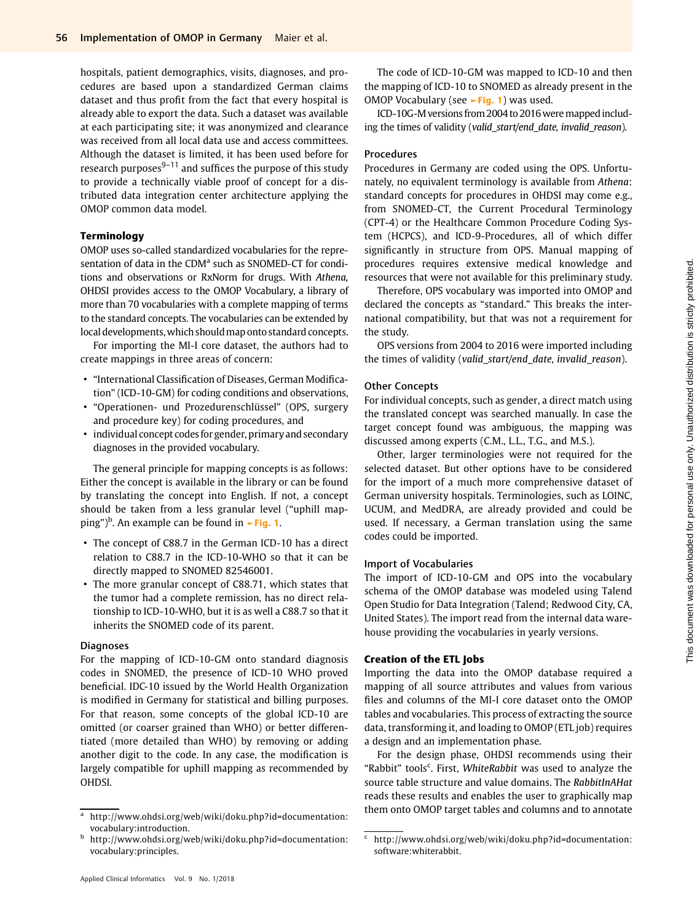hospitals, patient demographics, visits, diagnoses, and procedures are based upon a standardized German claims dataset and thus profit from the fact that every hospital is already able to export the data. Such a dataset was available at each participating site; it was anonymized and clearance was received from all local data use and access committees. Although the dataset is limited, it has been used before for research purposes $9-11$  and suffices the purpose of this study to provide a technically viable proof of concept for a distributed data integration center architecture applying the OMOP common data model.

## Terminology

OMOP uses so-called standardized vocabularies for the representation of data in the CDM<sup>a</sup> such as SNOMED-CT for conditions and observations or RxNorm for drugs. With Athena, OHDSI provides access to the OMOP Vocabulary, a library of more than 70 vocabularies with a complete mapping of terms to the standard concepts. The vocabularies can be extended by local developments, which should map onto standard concepts.

For importing the MI-I core dataset, the authors had to create mappings in three areas of concern:

- "International Classification of Diseases, German Modification" (ICD-10-GM) for coding conditions and observations,
- "Operationen- und Prozedurenschlüssel" (OPS, surgery and procedure key) for coding procedures, and
- individual concept codes for gender, primary and secondary diagnoses in the provided vocabulary.

The general principle for mapping concepts is as follows: Either the concept is available in the library or can be found by translating the concept into English. If not, a concept should be taken from a less granular level ("uphill mapping")<sup>b</sup>. An example can be found in **►Fig. 1**.

- The concept of C88.7 in the German ICD-10 has a direct relation to C88.7 in the ICD-10-WHO so that it can be directly mapped to SNOMED 82546001.
- The more granular concept of C88.71, which states that the tumor had a complete remission, has no direct relationship to ICD-10-WHO, but it is as well a C88.7 so that it inherits the SNOMED code of its parent.

## Diagnoses

For the mapping of ICD-10-GM onto standard diagnosis codes in SNOMED, the presence of ICD-10 WHO proved beneficial. IDC-10 issued by the World Health Organization is modified in Germany for statistical and billing purposes. For that reason, some concepts of the global ICD-10 are omitted (or coarser grained than WHO) or better differentiated (more detailed than WHO) by removing or adding another digit to the code. In any case, the modification is largely compatible for uphill mapping as recommended by OHDSI.

The code of ICD-10-GM was mapped to ICD-10 and then the mapping of ICD-10 to SNOMED as already present in the OMOP Vocabulary (see  $\rightarrow$ Fig. 1) was used.

ICD-10G-M versions from 2004 to 2016weremappedincluding the times of validity (valid\_start/end\_date, invalid\_reason).

## Procedures

Procedures in Germany are coded using the OPS. Unfortunately, no equivalent terminology is available from Athena: standard concepts for procedures in OHDSI may come e.g., from SNOMED-CT, the Current Procedural Terminology (CPT-4) or the Healthcare Common Procedure Coding System (HCPCS), and ICD-9-Procedures, all of which differ significantly in structure from OPS. Manual mapping of procedures requires extensive medical knowledge and resources that were not available for this preliminary study.

Therefore, OPS vocabulary was imported into OMOP and declared the concepts as "standard." This breaks the international compatibility, but that was not a requirement for the study.

OPS versions from 2004 to 2016 were imported including the times of validity (valid\_start/end\_date, invalid\_reason).

#### Other Concepts

For individual concepts, such as gender, a direct match using the translated concept was searched manually. In case the target concept found was ambiguous, the mapping was discussed among experts (C.M., L.L., T.G., and M.S.).

Other, larger terminologies were not required for the selected dataset. But other options have to be considered for the import of a much more comprehensive dataset of German university hospitals. Terminologies, such as LOINC, UCUM, and MedDRA, are already provided and could be used. If necessary, a German translation using the same codes could be imported.

#### Import of Vocabularies

The import of ICD-10-GM and OPS into the vocabulary schema of the OMOP database was modeled using Talend Open Studio for Data Integration (Talend; Redwood City, CA, United States). The import read from the internal data warehouse providing the vocabularies in yearly versions.

## Creation of the ETL Jobs

Importing the data into the OMOP database required a mapping of all source attributes and values from various files and columns of the MI-I core dataset onto the OMOP tables and vocabularies. This process of extracting the source data, transforming it, and loading to OMOP (ETL job) requires a design and an implementation phase.

For the design phase, OHDSI recommends using their "Rabbit" tools<sup>c</sup>. First, WhiteRabbit was used to analyze the source table structure and value domains. The RabbitInAHat reads these results and enables the user to graphically map  $\frac{1}{a}$  [http://www.ohdsi.org/web/wiki/doku.php?id=documentation:](http://www.ohdsi.org/web/wiki/doku.php&x003F;id=documentation:vocabulary:introduction) them onto OMOP target tables and columns and to annotate

[vocabulary:introduction.](http://www.ohdsi.org/web/wiki/doku.php&x003F;id=documentation:vocabulary:introduction)

<sup>b</sup> [http://www.ohdsi.org/web/wiki/doku.php?id=documentation:](http://www.ohdsi.org/web/wiki/doku.php&x003F;id=documentation:vocabulary:principles) [vocabulary:principles.](http://www.ohdsi.org/web/wiki/doku.php&x003F;id=documentation:vocabulary:principles)

 $c$  [http://www.ohdsi.org/web/wiki/doku.php?id=documentation:](http://www.ohdsi.org/web/wiki/doku.php&x003F;id=documentation:software:whiterabbit) [software:whiterabbit](http://www.ohdsi.org/web/wiki/doku.php&x003F;id=documentation:software:whiterabbit).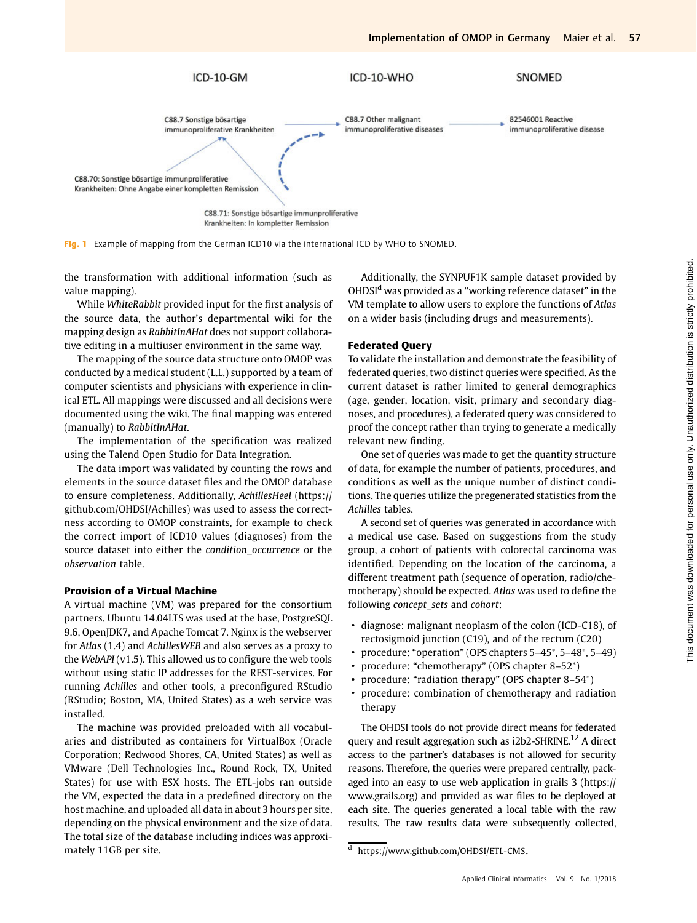

Krankheiten: In kompletter Remission

Fig. 1 Example of mapping from the German ICD10 via the international ICD by WHO to SNOMED.

the transformation with additional information (such as value mapping).

While WhiteRabbit provided input for the first analysis of the source data, the author's departmental wiki for the mapping design as RabbitInAHat does not support collaborative editing in a multiuser environment in the same way.

The mapping of the source data structure onto OMOP was conducted by a medical student (L.L.) supported by a team of computer scientists and physicians with experience in clinical ETL. All mappings were discussed and all decisions were documented using the wiki. The final mapping was entered (manually) to RabbitInAHat.

The implementation of the specification was realized using the Talend Open Studio for Data Integration.

The data import was validated by counting the rows and elements in the source dataset files and the OMOP database to ensure completeness. Additionally, AchillesHeel (https:// github.com/OHDSI/Achilles) was used to assess the correctness according to OMOP constraints, for example to check the correct import of ICD10 values (diagnoses) from the source dataset into either the condition\_occurrence or the observation table.

#### Provision of a Virtual Machine

A virtual machine (VM) was prepared for the consortium partners. Ubuntu 14.04LTS was used at the base, PostgreSQL 9.6, OpenJDK7, and Apache Tomcat 7. Nginx is the webserver for Atlas (1.4) and AchillesWEB and also serves as a proxy to the WebAPI (v1.5). This allowed us to configure the web tools without using static IP addresses for the REST-services. For running Achilles and other tools, a preconfigured RStudio (RStudio; Boston, MA, United States) as a web service was installed.

The machine was provided preloaded with all vocabularies and distributed as containers for VirtualBox (Oracle Corporation; Redwood Shores, CA, United States) as well as VMware (Dell Technologies Inc., Round Rock, TX, United States) for use with ESX hosts. The ETL-jobs ran outside the VM, expected the data in a predefined directory on the host machine, and uploaded all data in about 3 hours per site, depending on the physical environment and the size of data. The total size of the database including indices was approximately 11GB per site.

Additionally, the SYNPUF1K sample dataset provided by OHDSI<sup>d</sup> was provided as a "working reference dataset" in the VM template to allow users to explore the functions of Atlas on a wider basis (including drugs and measurements).

## Federated Query

To validate the installation and demonstrate the feasibility of federated queries, two distinct queries were specified. As the current dataset is rather limited to general demographics (age, gender, location, visit, primary and secondary diagnoses, and procedures), a federated query was considered to proof the concept rather than trying to generate a medically relevant new finding.

One set of queries was made to get the quantity structure of data, for example the number of patients, procedures, and conditions as well as the unique number of distinct conditions. The queries utilize the pregenerated statistics from the Achilles tables.

A second set of queries was generated in accordance with a medical use case. Based on suggestions from the study group, a cohort of patients with colorectal carcinoma was identified. Depending on the location of the carcinoma, a different treatment path (sequence of operation, radio/chemotherapy) should be expected. Atlas was used to define the following concept\_sets and cohort:

- diagnose: malignant neoplasm of the colon (ICD-C18), of rectosigmoid junction (C19), and of the rectum (C20)
- procedure: "operation" (OPS chapters 5–45 , 5–48 , 5–49)
- procedure: "chemotherapy" (OPS chapter 8–52\*)
- procedure: "radiation therapy" (OPS chapter 8–54\*)
- procedure: combination of chemotherapy and radiation therapy

The OHDSI tools do not provide direct means for federated query and result aggregation such as i2b2-SHRINE.<sup>12</sup> A direct access to the partner's databases is not allowed for security reasons. Therefore, the queries were prepared centrally, packaged into an easy to use web application in grails 3 (https:// www.grails.org) and provided as war files to be deployed at each site. The queries generated a local table with the raw results. The raw results data were subsequently collected,

<sup>d</sup> https://www.github.com/OHDSI/ETL-CMS.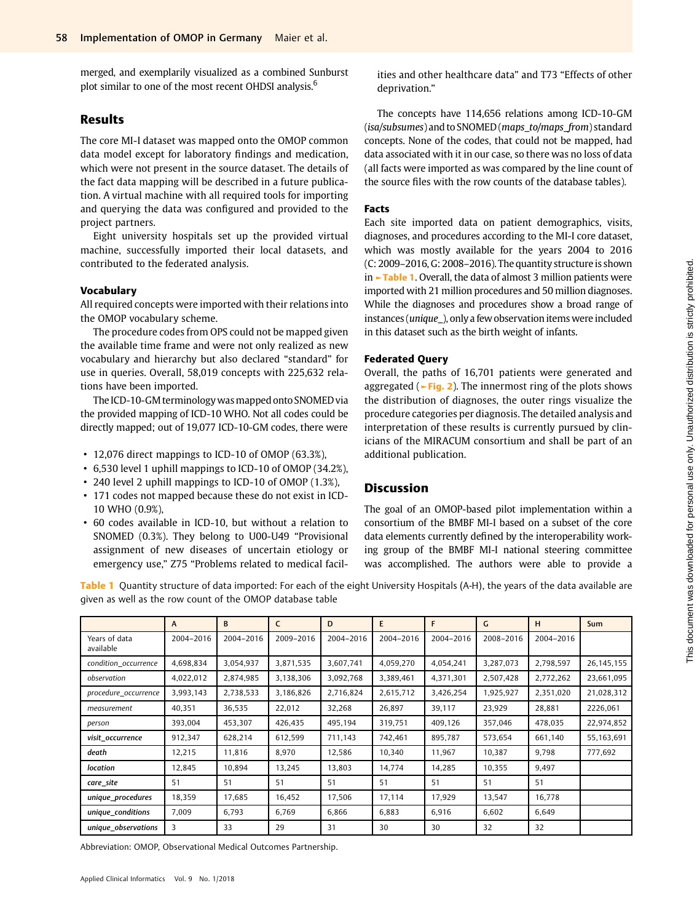merged, and exemplarily visualized as a combined Sunburst plot similar to one of the most recent OHDSI analysis.<sup>6</sup>

# Results

The core MI-I dataset was mapped onto the OMOP common data model except for laboratory findings and medication, which were not present in the source dataset. The details of the fact data mapping will be described in a future publication. A virtual machine with all required tools for importing and querying the data was configured and provided to the project partners.

Eight university hospitals set up the provided virtual machine, successfully imported their local datasets, and contributed to the federated analysis.

#### Vocabulary

All required concepts were imported with their relations into the OMOP vocabulary scheme.

The procedure codes from OPS could not be mapped given the available time frame and were not only realized as new vocabulary and hierarchy but also declared "standard" for use in queries. Overall, 58,019 concepts with 225,632 relations have been imported.

The ICD-10-GM terminology was mapped onto SNOMED via the provided mapping of ICD-10 WHO. Not all codes could be directly mapped; out of 19,077 ICD-10-GM codes, there were

- 12,076 direct mappings to ICD-10 of OMOP (63.3%),
- 6,530 level 1 uphill mappings to ICD-10 of OMOP (34.2%),
- 240 level 2 uphill mappings to ICD-10 of OMOP (1.3%),
- 171 codes not mapped because these do not exist in ICD-10 WHO (0.9%),
- 60 codes available in ICD-10, but without a relation to SNOMED (0.3%). They belong to U00-U49 "Provisional assignment of new diseases of uncertain etiology or emergency use," Z75 "Problems related to medical facil-

ities and other healthcare data" and T73 "Effects of other deprivation."

The concepts have 114,656 relations among ICD-10-GM (isa/subsumes) and to SNOMED (maps\_to/maps\_from) standard concepts. None of the codes, that could not be mapped, had data associated with it in our case, so there was no loss of data (all facts were imported as was compared by the line count of the source files with the row counts of the database tables).

## Facts

Each site imported data on patient demographics, visits, diagnoses, and procedures according to the MI-I core dataset, which was mostly available for the years 2004 to 2016 (C: 2009–2016, G: 2008–2016). The quantity structure is shown in ►Table 1. Overall, the data of almost 3 million patients were imported with 21 million procedures and 50 million diagnoses. While the diagnoses and procedures show a broad range of instances (unique\_), only a few observation items were included in this dataset such as the birth weight of infants.

## Federated Query

Overall, the paths of 16,701 patients were generated and aggregated ( $\blacktriangleright$  Fig. 2). The innermost ring of the plots shows the distribution of diagnoses, the outer rings visualize the procedure categories per diagnosis. The detailed analysis and interpretation of these results is currently pursued by clinicians of the MIRACUM consortium and shall be part of an additional publication.

## Discussion

The goal of an OMOP-based pilot implementation within a consortium of the BMBF MI-I based on a subset of the core data elements currently defined by the interoperability working group of the BMBF MI-I national steering committee was accomplished. The authors were able to provide a

Table 1 Quantity structure of data imported: For each of the eight University Hospitals (A-H), the years of the data available are given as well as the row count of the OMOP database table

|                            | $\mathsf{A}$ | B.        | C         | D         | E.        | F         | G         | H         | <b>Sum</b>   |
|----------------------------|--------------|-----------|-----------|-----------|-----------|-----------|-----------|-----------|--------------|
| Years of data<br>available | 2004-2016    | 2004-2016 | 2009-2016 | 2004-2016 | 2004-2016 | 2004-2016 | 2008-2016 | 2004-2016 |              |
| condition_occurrence       | 4,698,834    | 3,054,937 | 3,871,535 | 3,607,741 | 4,059,270 | 4,054,241 | 3,287,073 | 2,798,597 | 26, 145, 155 |
| observation                | 4,022,012    | 2,874,985 | 3,138,306 | 3,092,768 | 3,389,461 | 4,371,301 | 2,507,428 | 2,772,262 | 23,661,095   |
| procedure_occurrence       | 3,993,143    | 2,738,533 | 3,186,826 | 2,716,824 | 2,615,712 | 3,426,254 | 1,925,927 | 2,351,020 | 21,028,312   |
| measurement                | 40,351       | 36,535    | 22,012    | 32,268    | 26,897    | 39,117    | 23,929    | 28,881    | 2226,061     |
| person                     | 393,004      | 453,307   | 426,435   | 495,194   | 319,751   | 409,126   | 357,046   | 478,035   | 22,974,852   |
| visit occurrence           | 912,347      | 628,214   | 612,599   | 711,143   | 742,461   | 895,787   | 573,654   | 661,140   | 55,163,691   |
| death                      | 12,215       | 11,816    | 8,970     | 12,586    | 10,340    | 11,967    | 10,387    | 9,798     | 777,692      |
| location                   | 12,845       | 10,894    | 13,245    | 13,803    | 14,774    | 14,285    | 10,355    | 9,497     |              |
| care_site                  | 51           | 51        | 51        | 51        | 51        | 51        | 51        | 51        |              |
| unique_procedures          | 18,359       | 17,685    | 16,452    | 17,506    | 17,114    | 17,929    | 13,547    | 16,778    |              |
| unique_conditions          | 7,009        | 6,793     | 6,769     | 6,866     | 6,883     | 6,916     | 6,602     | 6,649     |              |
| unique observations        | 3            | 33        | 29        | 31        | 30        | 30        | 32        | 32        |              |

Abbreviation: OMOP, Observational Medical Outcomes Partnership.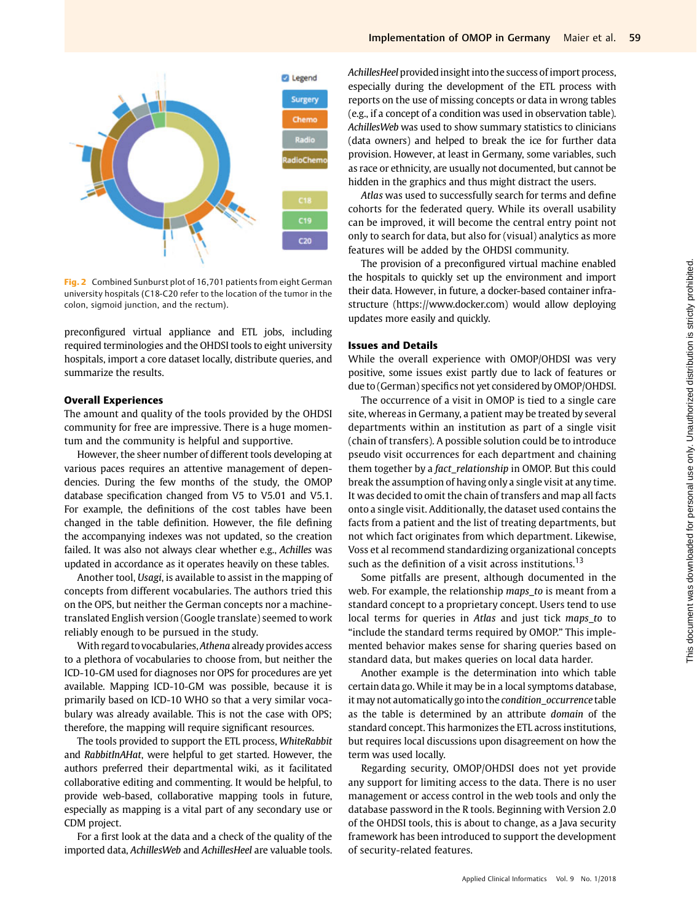

Fig. 2 Combined Sunburst plot of 16,701 patients from eight German university hospitals (C18-C20 refer to the location of the tumor in the colon, sigmoid junction, and the rectum).

preconfigured virtual appliance and ETL jobs, including required terminologies and the OHDSI tools to eight university hospitals, import a core dataset locally, distribute queries, and summarize the results.

#### Overall Experiences

The amount and quality of the tools provided by the OHDSI community for free are impressive. There is a huge momentum and the community is helpful and supportive.

However, the sheer number of different tools developing at various paces requires an attentive management of dependencies. During the few months of the study, the OMOP database specification changed from V5 to V5.01 and V5.1. For example, the definitions of the cost tables have been changed in the table definition. However, the file defining the accompanying indexes was not updated, so the creation failed. It was also not always clear whether e.g., Achilles was updated in accordance as it operates heavily on these tables.

Another tool, Usagi, is available to assist in the mapping of concepts from different vocabularies. The authors tried this on the OPS, but neither the German concepts nor a machinetranslated English version (Google translate) seemed to work reliably enough to be pursued in the study.

With regard to vocabularies, Athena already provides access to a plethora of vocabularies to choose from, but neither the ICD-10-GM used for diagnoses nor OPS for procedures are yet available. Mapping ICD-10-GM was possible, because it is primarily based on ICD-10 WHO so that a very similar vocabulary was already available. This is not the case with OPS; therefore, the mapping will require significant resources.

The tools provided to support the ETL process, WhiteRabbit and RabbitInAHat, were helpful to get started. However, the authors preferred their departmental wiki, as it facilitated collaborative editing and commenting. It would be helpful, to provide web-based, collaborative mapping tools in future, especially as mapping is a vital part of any secondary use or CDM project.

For a first look at the data and a check of the quality of the imported data, AchillesWeb and AchillesHeel are valuable tools. AchillesHeel provided insight into the success of import process, especially during the development of the ETL process with reports on the use of missing concepts or data in wrong tables (e.g., if a concept of a condition was used in observation table). AchillesWeb was used to show summary statistics to clinicians (data owners) and helped to break the ice for further data provision. However, at least in Germany, some variables, such as race or ethnicity, are usually not documented, but cannot be hidden in the graphics and thus might distract the users.

Atlas was used to successfully search for terms and define cohorts for the federated query. While its overall usability can be improved, it will become the central entry point not only to search for data, but also for (visual) analytics as more features will be added by the OHDSI community.

The provision of a preconfigured virtual machine enabled the hospitals to quickly set up the environment and import their data. However, in future, a docker-based container infrastructure (https://www.docker.com) would allow deploying updates more easily and quickly.

## Issues and Details

While the overall experience with OMOP/OHDSI was very positive, some issues exist partly due to lack of features or due to (German) specifics not yet considered by OMOP/OHDSI.

The occurrence of a visit in OMOP is tied to a single care site, whereas in Germany, a patient may be treated by several departments within an institution as part of a single visit (chain of transfers). A possible solution could be to introduce pseudo visit occurrences for each department and chaining them together by a fact\_relationship in OMOP. But this could break the assumption of having only a single visit at any time. It was decided to omit the chain of transfers and map all facts onto a single visit. Additionally, the dataset used contains the facts from a patient and the list of treating departments, but not which fact originates from which department. Likewise, Voss et al recommend standardizing organizational concepts such as the definition of a visit across institutions.<sup>13</sup>

Some pitfalls are present, although documented in the web. For example, the relationship maps\_to is meant from a standard concept to a proprietary concept. Users tend to use local terms for queries in Atlas and just tick maps\_to to "include the standard terms required by OMOP." This implemented behavior makes sense for sharing queries based on standard data, but makes queries on local data harder.

Another example is the determination into which table certain data go. While it may be in a local symptoms database, it may not automatically go into the condition\_occurrence table as the table is determined by an attribute domain of the standard concept. This harmonizes the ETL across institutions, but requires local discussions upon disagreement on how the term was used locally.

Regarding security, OMOP/OHDSI does not yet provide any support for limiting access to the data. There is no user management or access control in the web tools and only the database password in the R tools. Beginning with Version 2.0 of the OHDSI tools, this is about to change, as a Java security framework has been introduced to support the development of security-related features.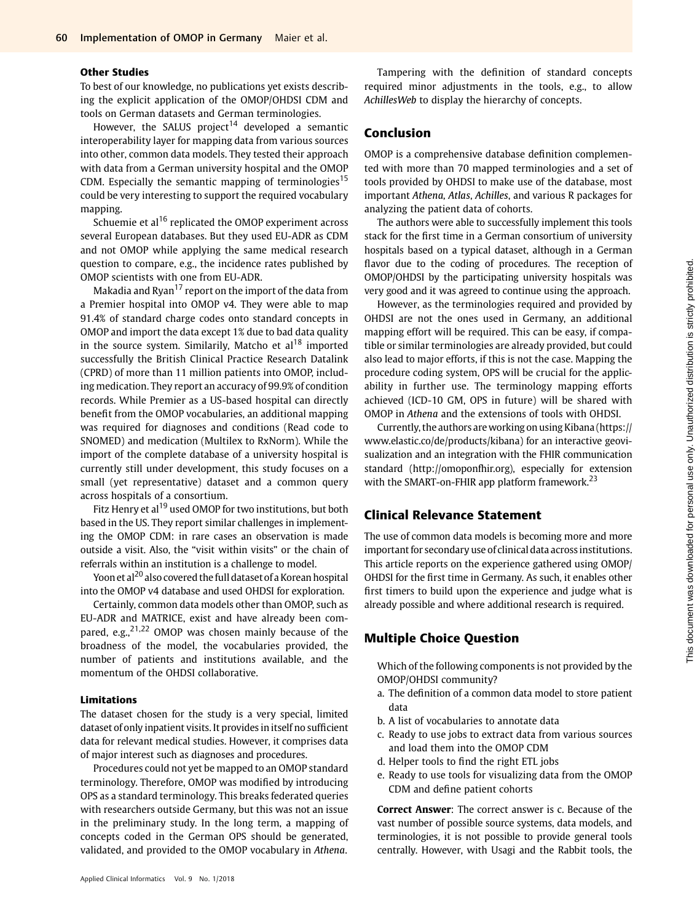## Other Studies

To best of our knowledge, no publications yet exists describing the explicit application of the OMOP/OHDSI CDM and tools on German datasets and German terminologies.

However, the SALUS project<sup>14</sup> developed a semantic interoperability layer for mapping data from various sources into other, common data models. They tested their approach with data from a German university hospital and the OMOP CDM. Especially the semantic mapping of terminologies<sup>15</sup> could be very interesting to support the required vocabulary mapping.

Schuemie et al<sup>16</sup> replicated the OMOP experiment across several European databases. But they used EU-ADR as CDM and not OMOP while applying the same medical research question to compare, e.g., the incidence rates published by OMOP scientists with one from EU-ADR.

Makadia and Ryan $17$  report on the import of the data from a Premier hospital into OMOP v4. They were able to map 91.4% of standard charge codes onto standard concepts in OMOP and import the data except 1% due to bad data quality in the source system. Similarily, Matcho et  $al^{18}$  imported successfully the British Clinical Practice Research Datalink (CPRD) of more than 11 million patients into OMOP, including medication. They report an accuracy of 99.9% of condition records. While Premier as a US-based hospital can directly benefit from the OMOP vocabularies, an additional mapping was required for diagnoses and conditions (Read code to SNOMED) and medication (Multilex to RxNorm). While the import of the complete database of a university hospital is currently still under development, this study focuses on a small (yet representative) dataset and a common query across hospitals of a consortium.

Fitz Henry et al<sup>19</sup> used OMOP for two institutions, but both based in the US. They report similar challenges in implementing the OMOP CDM: in rare cases an observation is made outside a visit. Also, the "visit within visits" or the chain of referrals within an institution is a challenge to model.

Yoon et al<sup>20</sup> also covered the full dataset of a Korean hospital into the OMOP v4 database and used OHDSI for exploration.

Certainly, common data models other than OMOP, such as EU-ADR and MATRICE, exist and have already been compared, e.g., $2^{1,22}$  OMOP was chosen mainly because of the broadness of the model, the vocabularies provided, the number of patients and institutions available, and the momentum of the OHDSI collaborative.

## Limitations

The dataset chosen for the study is a very special, limited dataset of only inpatient visits. It provides in itself no sufficient data for relevant medical studies. However, it comprises data of major interest such as diagnoses and procedures.

Procedures could not yet be mapped to an OMOP standard terminology. Therefore, OMOP was modified by introducing OPS as a standard terminology. This breaks federated queries with researchers outside Germany, but this was not an issue in the preliminary study. In the long term, a mapping of concepts coded in the German OPS should be generated, validated, and provided to the OMOP vocabulary in Athena.

Tampering with the definition of standard concepts required minor adjustments in the tools, e.g., to allow AchillesWeb to display the hierarchy of concepts.

# Conclusion

OMOP is a comprehensive database definition complemented with more than 70 mapped terminologies and a set of tools provided by OHDSI to make use of the database, most important Athena, Atlas, Achilles, and various R packages for analyzing the patient data of cohorts.

The authors were able to successfully implement this tools stack for the first time in a German consortium of university hospitals based on a typical dataset, although in a German flavor due to the coding of procedures. The reception of OMOP/OHDSI by the participating university hospitals was very good and it was agreed to continue using the approach.

However, as the terminologies required and provided by OHDSI are not the ones used in Germany, an additional mapping effort will be required. This can be easy, if compatible or similar terminologies are already provided, but could also lead to major efforts, if this is not the case. Mapping the procedure coding system, OPS will be crucial for the applicability in further use. The terminology mapping efforts achieved (ICD-10 GM, OPS in future) will be shared with OMOP in Athena and the extensions of tools with OHDSI.

Currently, the authors are working on using Kibana (https:// www.elastic.co/de/products/kibana) for an interactive geovisualization and an integration with the FHIR communication standard ([http://omoponfhir.org\)](http://omoponfhir.org), especially for extension with the SMART-on-FHIR app platform framework.<sup>23</sup>

# Clinical Relevance Statement

The use of common data models is becoming more and more important for secondary use of clinical data across institutions. This article reports on the experience gathered using OMOP/ OHDSI for the first time in Germany. As such, it enables other first timers to build upon the experience and judge what is already possible and where additional research is required.

# Multiple Choice Question

Which of the following components is not provided by the OMOP/OHDSI community?

- a. The definition of a common data model to store patient data
- b. A list of vocabularies to annotate data
- c. Ready to use jobs to extract data from various sources and load them into the OMOP CDM
- d. Helper tools to find the right ETL jobs
- e. Ready to use tools for visualizing data from the OMOP CDM and define patient cohorts

Correct Answer: The correct answer is c. Because of the vast number of possible source systems, data models, and terminologies, it is not possible to provide general tools centrally. However, with Usagi and the Rabbit tools, the